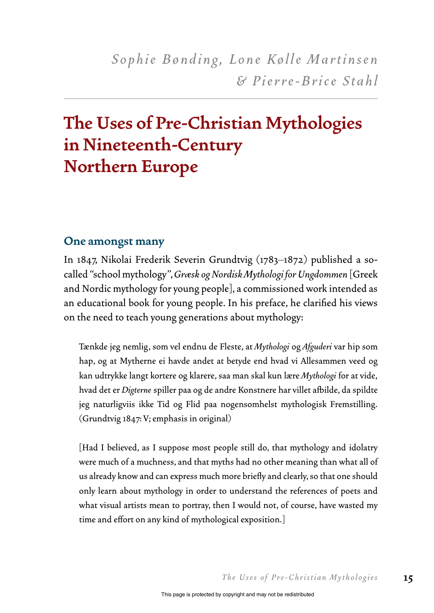# **The Uses of Pre-Christian Mythologies in Nineteenth-Century Northern Europe**

#### **One amongst many**

In 1847, Nikolai Frederik Severin Grundtvig (1783–1872) published a socalled "school mythology", *Græsk og Nordisk Mythologi for Ungdommen* [Greek and Nordic mythology for young people], a commissioned work intended as an educational book for young people. In his preface, he clarified his views on the need to teach young generations about mythology:

Tænkde jeg nemlig, som vel endnu de Fleste, at *Mythologi* og *Afguderi* var hip som hap, og at Mytherne ei havde andet at betyde end hvad vi Allesammen veed og kan udtrykke langt kortere og klarere, saa man skal kun lære *Mythologi* for at vide, hvad det er *Digterne* spiller paa og de andre Konstnere har villet afbilde, da spildte jeg naturligviis ikke Tid og Flid paa nogensomhelst mythologisk Fremstilling. (Grundtvig 1847: V; emphasis in original)

[Had I believed, as I suppose most people still do, that mythology and idolatry were much of a muchness, and that myths had no other meaning than what all of us already know and can express much more briefly and clearly, so that one should only learn about mythology in order to understand the references of poets and what visual artists mean to portray, then I would not, of course, have wasted my time and effort on any kind of mythological exposition.]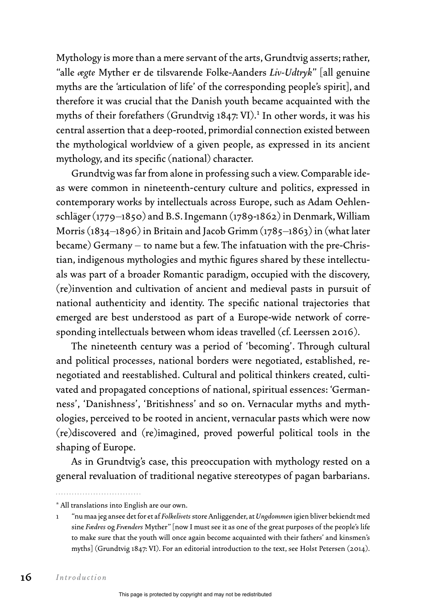Mythology is more than a mere servant of the arts, Grundtvig asserts; rather, "alle *ægte* Myther er de tilsvarende Folke-Aanders *Liv-Udtryk*" [all genuine myths are the 'articulation of life' of the corresponding people's spirit], and therefore it was crucial that the Danish youth became acquainted with the myths of their forefathers (Grundtvig 1847: VI).<sup>1</sup> In other words, it was his central assertion that a deep-rooted, primordial connection existed between the mythological worldview of a given people, as expressed in its ancient mythology, and its specific (national) character.

Grundtvig was far from alone in professing such a view. Comparable ideas were common in nineteenth-century culture and politics, expressed in contemporary works by intellectuals across Europe, such as Adam Oehlenschläger (1779–1850) and B.S. Ingemann (1789-1862) in Denmark, William Morris (1834–1896) in Britain and Jacob Grimm (1785–1863) in (what later became) Germany – to name but a few. The infatuation with the pre-Christian, indigenous mythologies and mythic figures shared by these intellectuals was part of a broader Romantic paradigm, occupied with the discovery, (re)invention and cultivation of ancient and medieval pasts in pursuit of national authenticity and identity. The specific national trajectories that emerged are best understood as part of a Europe-wide network of corresponding intellectuals between whom ideas travelled (cf. Leerssen 2016).

The nineteenth century was a period of 'becoming'. Through cultural and political processes, national borders were negotiated, established, renegotiated and reestablished. Cultural and political thinkers created, cultivated and propagated conceptions of national, spiritual essences: 'Germanness', 'Danishness', 'Britishness' and so on. Vernacular myths and mythologies, perceived to be rooted in ancient, vernacular pasts which were now (re)discovered and (re)imagined, proved powerful political tools in the shaping of Europe.

As in Grundtvig's case, this preoccupation with mythology rested on a general revaluation of traditional negative stereotypes of pagan barbarians.

<sup>\*</sup> All translations into English are our own.

<sup>1</sup> "nu maa jeg ansee det for et af *Folkelivets* store Anliggender, at *Ungdommen* igien bliver bekiendt med sine *Fædres* og *Frænders* Myther" [now I must see it as one of the great purposes of the people's life to make sure that the youth will once again become acquainted with their fathers' and kinsmen's myths] (Grundtvig 1847: VI). For an editorial introduction to the text, see Holst Petersen (2014).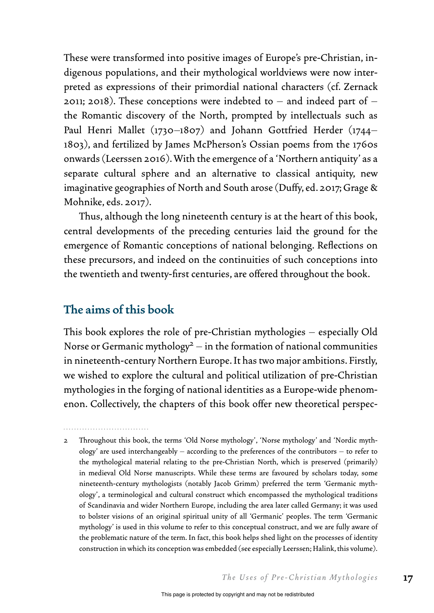These were transformed into positive images of Europe's pre-Christian, indigenous populations, and their mythological worldviews were now interpreted as expressions of their primordial national characters (cf. Zernack 2011; 2018). These conceptions were indebted to – and indeed part of – the Romantic discovery of the North, prompted by intellectuals such as Paul Henri Mallet (1730–1807) and Johann Gottfried Herder (1744– 1803), and fertilized by James McPherson's Ossian poems from the 1760s onwards (Leerssen 2016). With the emergence of a 'Northern antiquity' as a separate cultural sphere and an alternative to classical antiquity, new imaginative geographies of North and South arose (Duffy, ed. 2017; Grage & Mohnike, eds. 2017).

Thus, although the long nineteenth century is at the heart of this book, central developments of the preceding centuries laid the ground for the emergence of Romantic conceptions of national belonging. Reflections on these precursors, and indeed on the continuities of such conceptions into the twentieth and twenty-first centuries, are offered throughout the book.

#### **The aims of this book**

This book explores the role of pre-Christian mythologies – especially Old Norse or Germanic mythology<sup>2</sup> – in the formation of national communities in nineteenth-century Northern Europe. It has two major ambitions. Firstly, we wished to explore the cultural and political utilization of pre-Christian mythologies in the forging of national identities as a Europe-wide phenomenon. Collectively, the chapters of this book offer new theoretical perspec-

*The Uses of Pre-Christian Mythologies* **17**

<sup>2</sup> Throughout this book, the terms 'Old Norse mythology', 'Norse mythology' and 'Nordic mythology' are used interchangeably – according to the preferences of the contributors – to refer to the mythological material relating to the pre-Christian North, which is preserved (primarily) in medieval Old Norse manuscripts. While these terms are favoured by scholars today, some nineteenth-century mythologists (notably Jacob Grimm) preferred the term 'Germanic mythology', a terminological and cultural construct which encompassed the mythological traditions of Scandinavia and wider Northern Europe, including the area later called Germany; it was used to bolster visions of an original spiritual unity of all 'Germanic' peoples. The term 'Germanic mythology' is used in this volume to refer to this conceptual construct, and we are fully aware of the problematic nature of the term. In fact, this book helps shed light on the processes of identity construction in which its conception was embedded (see especially Leerssen; Halink, this volume).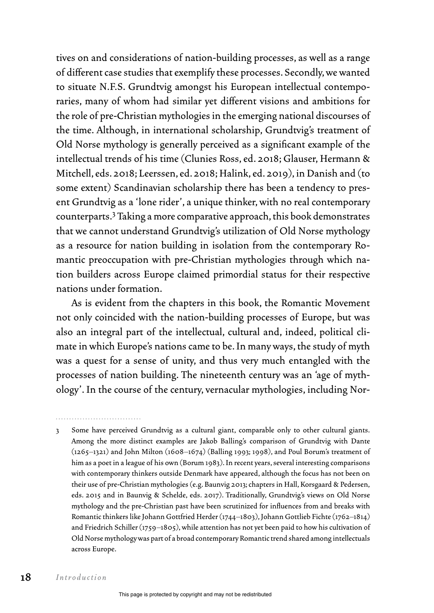tives on and considerations of nation-building processes, as well as a range of different case studies that exemplify these processes. Secondly, we wanted to situate N.F.S. Grundtvig amongst his European intellectual contemporaries, many of whom had similar yet different visions and ambitions for the role of pre-Christian mythologies in the emerging national discourses of the time. Although, in international scholarship, Grundtvig's treatment of Old Norse mythology is generally perceived as a significant example of the intellectual trends of his time (Clunies Ross, ed. 2018; Glauser, Hermann & Mitchell, eds. 2018; Leerssen, ed. 2018; Halink, ed. 2019), in Danish and (to some extent) Scandinavian scholarship there has been a tendency to present Grundtvig as a 'lone rider', a unique thinker, with no real contemporary counterparts.3 Taking a more comparative approach, this book demonstrates that we cannot understand Grundtvig's utilization of Old Norse mythology as a resource for nation building in isolation from the contemporary Romantic preoccupation with pre-Christian mythologies through which nation builders across Europe claimed primordial status for their respective nations under formation.

As is evident from the chapters in this book, the Romantic Movement not only coincided with the nation-building processes of Europe, but was also an integral part of the intellectual, cultural and, indeed, political climate in which Europe's nations came to be. In many ways, the study of myth was a quest for a sense of unity, and thus very much entangled with the processes of nation building. The nineteenth century was an 'age of mythology'. In the course of the century, vernacular mythologies, including Nor-

<sup>3</sup> Some have perceived Grundtvig as a cultural giant, comparable only to other cultural giants. Among the more distinct examples are Jakob Balling's comparison of Grundtvig with Dante (1265–1321) and John Milton (1608–1674) (Balling 1993; 1998), and Poul Borum's treatment of him as a poet in a league of his own (Borum 1983). In recent years, several interesting comparisons with contemporary thinkers outside Denmark have appeared, although the focus has not been on their use of pre-Christian mythologies (e.g. Baunvig 2013; chapters in Hall, Korsgaard & Pedersen, eds. 2015 and in Baunvig & Schelde, eds. 2017). Traditionally, Grundtvig's views on Old Norse mythology and the pre-Christian past have been scrutinized for influences from and breaks with Romantic thinkers like Johann Gottfried Herder (1744–1803), Johann Gottlieb Fichte (1762–1814) and Friedrich Schiller (1759–1805), while attention has not yet been paid to how his cultivation of Old Norse mythology was part of a broad contemporary Romantic trend shared among intellectuals across Europe.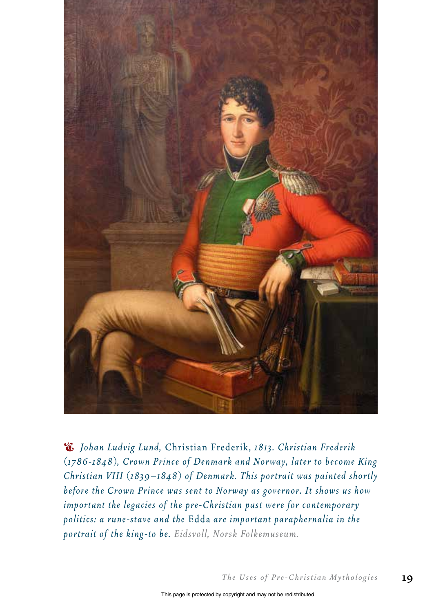

• *Johan Ludvig Lund,* Christian Frederik, *1813. Christian Frederik (1786-1848), Crown Prince of Denmark and Norway, later to become King Christian VIII (1839–1848) of Denmark. This portrait was painted shortly before the Crown Prince was sent to Norway as governor. It shows us how important the legacies of the pre- Christian past were for contemporary politics: a rune-stave and the* Edda *are important paraphernalia in the portrait of the king-to be. Eidsvoll, Norsk Folkemuseum.*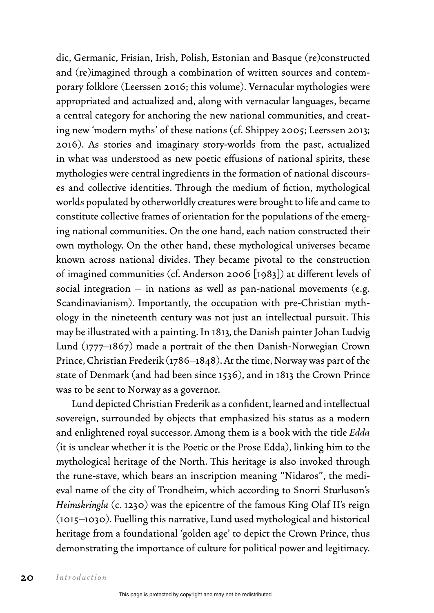dic, Germanic, Frisian, Irish, Polish, Estonian and Basque (re)constructed and (re)imagined through a combination of written sources and contemporary folklore (Leerssen 2016; this volume). Vernacular mythologies were appropriated and actualized and, along with vernacular languages, became a central category for anchoring the new national communities, and creating new 'modern myths' of these nations (cf. Shippey 2005; Leerssen 2013; 2016). As stories and imaginary story-worlds from the past, actualized in what was understood as new poetic effusions of national spirits, these mythologies were central ingredients in the formation of national discourses and collective identities. Through the medium of fiction, mythological worlds populated by otherworldly creatures were brought to life and came to constitute collective frames of orientation for the populations of the emerging national communities. On the one hand, each nation constructed their own mythology. On the other hand, these mythological universes became known across national divides. They became pivotal to the construction of imagined communities (cf. Anderson 2006 [1983]) at different levels of social integration – in nations as well as pan-national movements (e.g. Scandinavianism). Importantly, the occupation with pre-Christian mythology in the nineteenth century was not just an intellectual pursuit. This may be illustrated with a painting. In 1813, the Danish painter Johan Ludvig Lund (1777–1867) made a portrait of the then Danish-Norwegian Crown Prince, Christian Frederik (1786–1848). At the time, Norway was part of the state of Denmark (and had been since 1536), and in 1813 the Crown Prince was to be sent to Norway as a governor.

Lund depicted Christian Frederik as a confident, learned and intellectual sovereign, surrounded by objects that emphasized his status as a modern and enlightened royal successor. Among them is a book with the title *Edda* (it is unclear whether it is the Poetic or the Prose Edda), linking him to the mythological heritage of the North. This heritage is also invoked through the rune-stave, which bears an inscription meaning "Nidaros", the medieval name of the city of Trondheim, which according to Snorri Sturluson's *Heimskringla* (c. 1230) was the epicentre of the famous King Olaf II's reign (1015–1030). Fuelling this narrative, Lund used mythological and historical heritage from a foundational 'golden age' to depict the Crown Prince, thus demonstrating the importance of culture for political power and legitimacy.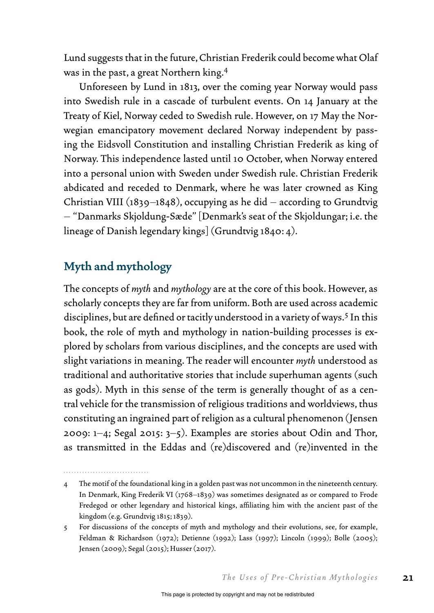Lund suggests that in the future, Christian Frederik could become what Olaf was in the past, a great Northern king.4

Unforeseen by Lund in 1813, over the coming year Norway would pass into Swedish rule in a cascade of turbulent events. On 14 January at the Treaty of Kiel, Norway ceded to Swedish rule. However, on 17 May the Norwegian emancipatory movement declared Norway independent by passing the Eidsvoll Constitution and installing Christian Frederik as king of Norway. This independence lasted until 10 October, when Norway entered into a personal union with Sweden under Swedish rule. Christian Frederik abdicated and receded to Denmark, where he was later crowned as King Christian VIII (1839–1848), occupying as he did – according to Grundtvig – "Danmarks Skjoldung-Sæde" [Denmark's seat of the Skjoldungar; i.e. the lineage of Danish legendary kings] (Grundtvig 1840: 4).

## **Myth and mythology**

The concepts of *myth* and *mythology* are at the core of this book. However, as scholarly concepts they are far from uniform. Both are used across academic disciplines, but are defined or tacitly understood in a variety of ways.<sup>5</sup> In this book, the role of myth and mythology in nation-building processes is explored by scholars from various disciplines, and the concepts are used with slight variations in meaning. The reader will encounter *myth* understood as traditional and authoritative stories that include superhuman agents (such as gods). Myth in this sense of the term is generally thought of as a central vehicle for the transmission of religious traditions and worldviews, thus constituting an ingrained part of religion as a cultural phenomenon (Jensen 2009: 1–4; Segal 2015: 3–5). Examples are stories about Odin and Thor, as transmitted in the Eddas and (re)discovered and (re)invented in the

*The Uses of Pre-Christian Mythologies* **21**

<sup>4</sup> The motif of the foundational king in a golden past was not uncommon in the nineteenth century. In Denmark, King Frederik VI (1768–1839) was sometimes designated as or compared to Frode Fredegod or other legendary and historical kings, affiliating him with the ancient past of the kingdom (e.g. Grundtvig 1815; 1839).

<sup>5</sup> For discussions of the concepts of myth and mythology and their evolutions, see, for example, Feldman & Richardson (1972); Detienne (1992); Lass (1997); Lincoln (1999); Bolle (2005); Jensen (2009); Segal (2015); Husser (2017).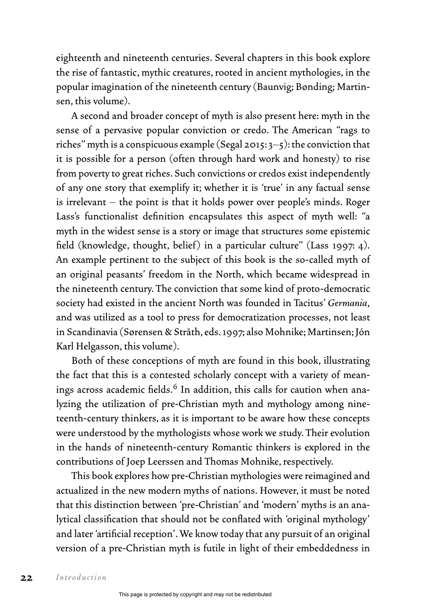eighteenth and nineteenth centuries. Several chapters in this book explore the rise of fantastic, mythic creatures, rooted in ancient mythologies, in the popular imagination of the nineteenth century (Baunvig; Bønding; Martinsen, this volume).

A second and broader concept of myth is also present here: myth in the sense of a pervasive popular conviction or credo. The American "rags to riches" myth is a conspicuous example (Segal 2015: 3–5): the conviction that it is possible for a person (often through hard work and honesty) to rise from poverty to great riches. Such convictions or credos exist independently of any one story that exemplify it; whether it is 'true' in any factual sense is irrelevant – the point is that it holds power over people's minds. Roger Lass's functionalist definition encapsulates this aspect of myth well: "a myth in the widest sense is a story or image that structures some epistemic field (knowledge, thought, belief) in a particular culture" (Lass 1997: 4). An example pertinent to the subject of this book is the so-called myth of an original peasants' freedom in the North, which became widespread in the nineteenth century. The conviction that some kind of proto-democratic society had existed in the ancient North was founded in Tacitus' *Germania*, and was utilized as a tool to press for democratization processes, not least in Scandinavia (Sørensen & Stråth, eds. 1997; also Mohnike; Martinsen; Jón Karl Helgasson, this volume).

Both of these conceptions of myth are found in this book, illustrating the fact that this is a contested scholarly concept with a variety of meanings across academic fields.<sup>6</sup> In addition, this calls for caution when analyzing the utilization of pre-Christian myth and mythology among nineteenth-century thinkers, as it is important to be aware how these concepts were understood by the mythologists whose work we study. Their evolution in the hands of nineteenth-century Romantic thinkers is explored in the contributions of Joep Leerssen and Thomas Mohnike, respectively.

This book explores how pre-Christian mythologies were reimagined and actualized in the new modern myths of nations. However, it must be noted that this distinction between 'pre-Christian' and 'modern' myths is an analytical classification that should not be conflated with 'original mythology' and later 'artificial reception'. We know today that any pursuit of an original version of a pre-Christian myth is futile in light of their embeddedness in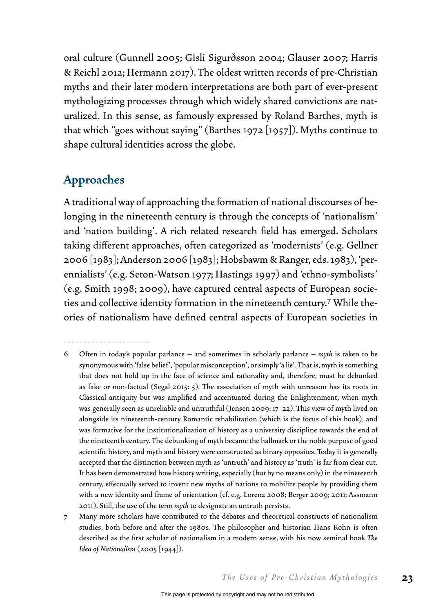oral culture (Gunnell 2005; Gísli Sigurðsson 2004; Glauser 2007; Harris & Reichl 2012; Hermann 2017). The oldest written records of pre-Christian myths and their later modern interpretations are both part of ever-present mythologizing processes through which widely shared convictions are naturalized. In this sense, as famously expressed by Roland Barthes, myth is that which "goes without saying" (Barthes 1972 [1957]). Myths continue to shape cultural identities across the globe.

## **Approaches**

A traditional way of approaching the formation of national discourses of belonging in the nineteenth century is through the concepts of 'nationalism' and 'nation building'. A rich related research field has emerged. Scholars taking different approaches, often categorized as 'modernists' (e.g. Gellner 2006 [1983]; Anderson 2006 [1983]; Hobsbawm & Ranger, eds. 1983), 'perennialists' (e.g. Seton-Watson 1977; Hastings 1997) and 'ethno-symbolists' (e.g. Smith 1998; 2009), have captured central aspects of European societies and collective identity formation in the nineteenth century.7 While theories of nationalism have defined central aspects of European societies in

<sup>6</sup> Often in today's popular parlance – and sometimes in scholarly parlance – *myth* is taken to be synonymous with 'false belief', 'popular misconception', or simply 'a lie'. That is, myth is something that does not hold up in the face of science and rationality and, therefore, must be debunked as fake or non-factual (Segal 2015: 5). The association of myth with unreason has its roots in Classical antiquity but was amplified and accentuated during the Enlightenment, when myth was generally seen as unreliable and untruthful (Jensen 2009: 17–22). This view of myth lived on alongside its nineteenth-century Romantic rehabilitation (which is the focus of this book), and was formative for the institutionalization of history as a university discipline towards the end of the nineteenth century. The debunking of myth became the hallmark or the noble purpose of good scientific history, and myth and history were constructed as binary opposites. Today it is generally accepted that the distinction between myth as 'untruth' and history as 'truth' is far from clear cut. It has been demonstrated how history writing, especially (but by no means only) in the nineteenth century, effectually served to invent new myths of nations to mobilize people by providing them with a new identity and frame of orientation (cf. e.g. Lorenz 2008; Berger 2009; 2011; Assmann 2011). Still, the use of the term *myth* to designate an untruth persists.

<sup>7</sup> Many more scholars have contributed to the debates and theoretical constructs of nationalism studies, both before and after the 1980s. The philosopher and historian Hans Kohn is often described as the first scholar of nationalism in a modern sense, with his now seminal book *The Idea of Nationalism* (2005 [1944]).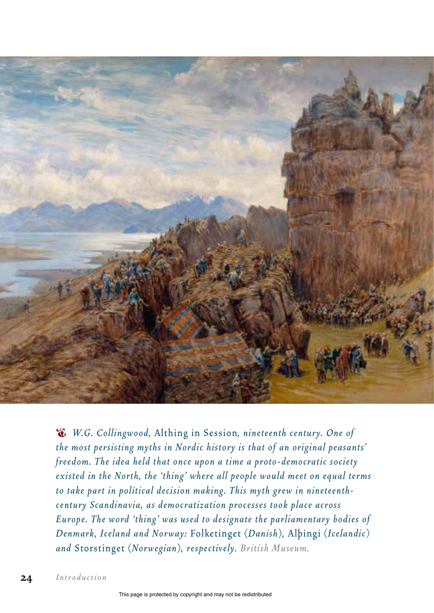

• *W.G. Collingwood,* Althing in Session*, nineteenth century. One of the most persisting myths in Nordic history is that of an original peasants' freedom. The idea held that once upon a time a proto- democratic society existed in the North, the 'thing' where all people would meet on equal terms to take part in political decision making. This myth grew in nineteenthcentury Scandinavia, as democratization processes took place across Europe. The word 'thing' was used to designate the parliamentary bodies of Denmark, Iceland and Norway:* Folketinget *(Danish),* Alþingi *(Icelandic) and* Storstinget *(Norwegian), respectively. British Museum.*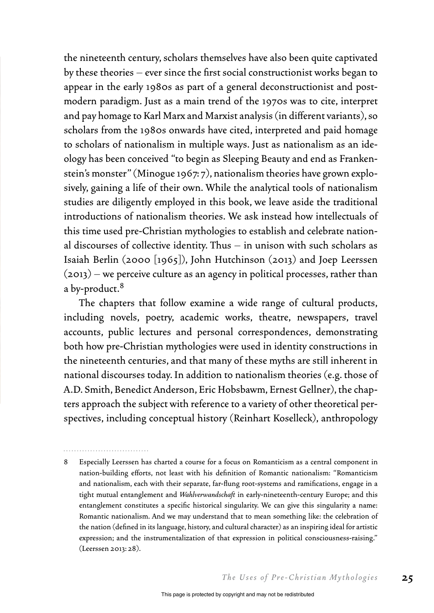the nineteenth century, scholars themselves have also been quite captivated by these theories – ever since the first social constructionist works began to appear in the early 1980s as part of a general deconstructionist and postmodern paradigm. Just as a main trend of the 1970s was to cite, interpret and pay homage to Karl Marx and Marxist analysis (in different variants), so scholars from the 1980s onwards have cited, interpreted and paid homage to scholars of nationalism in multiple ways. Just as nationalism as an ideology has been conceived "to begin as Sleeping Beauty and end as Frankenstein's monster" (Minogue 1967: 7), nationalism theories have grown explosively, gaining a life of their own. While the analytical tools of nationalism studies are diligently employed in this book, we leave aside the traditional introductions of nationalism theories. We ask instead how intellectuals of this time used pre-Christian mythologies to establish and celebrate national discourses of collective identity. Thus – in unison with such scholars as Isaiah Berlin (2000 [1965]), John Hutchinson (2013) and Joep Leerssen (2013) – we perceive culture as an agency in political processes, rather than a by-product.<sup>8</sup>

The chapters that follow examine a wide range of cultural products, including novels, poetry, academic works, theatre, newspapers, travel accounts, public lectures and personal correspondences, demonstrating both how pre-Christian mythologies were used in identity constructions in the nineteenth centuries, and that many of these myths are still inherent in national discourses today. In addition to nationalism theories (e.g. those of A.D. Smith, Benedict Anderson, Eric Hobsbawm, Ernest Gellner), the chapters approach the subject with reference to a variety of other theoretical perspectives, including conceptual history (Reinhart Koselleck), anthropology

*The Uses of Pre-Christian Mythologies* **25**

<sup>8</sup> Especially Leerssen has charted a course for a focus on Romanticism as a central component in nation-building efforts, not least with his definition of Romantic nationalism: "Romanticism and nationalism, each with their separate, far-flung root-systems and ramifications, engage in a tight mutual entanglement and *Wahlverwandschaft* in early-nineteenth-century Europe; and this entanglement constitutes a specific historical singularity. We can give this singularity a name: Romantic nationalism. And we may understand that to mean something like: the celebration of the nation (defined in its language, history, and cultural character) as an inspiring ideal for artistic expression; and the instrumentalization of that expression in political consciousness-raising." (Leerssen 2013: 28).